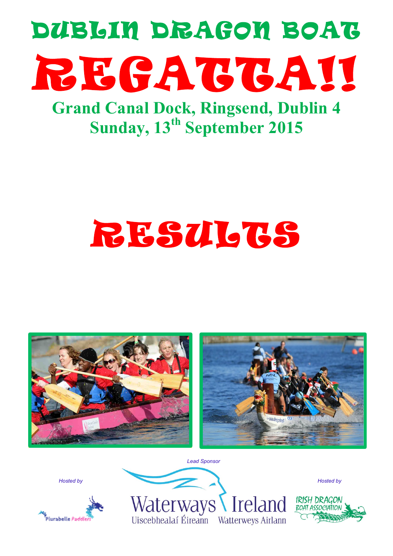

**Grand Canal Dock, Ringsend, Dublin 4 Sunday, 13th September 2015**

# RESULTS



*Hosted by*



Waterways Ireland Uiscebhealaí Éireann Watterweys Airlann

*Lead Sponsor*

IRISH DRAGON **BOAT ASSOCIATION** 

*Hosted by*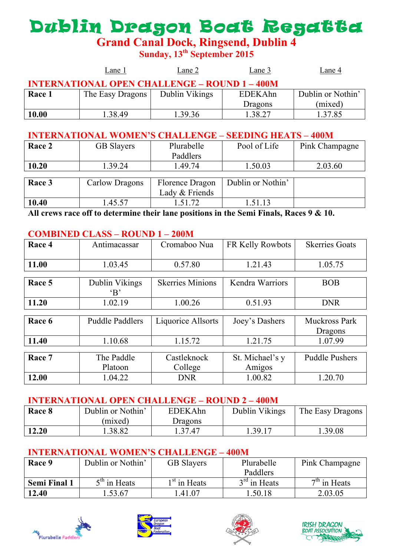## Dublin Dragon Boat Regatta

**Grand Canal Dock, Ringsend, Dublin 4**

**Sunday, 13th September 2015**

|                                                      | Lane 1           | Lane 2         | Lane 3   | Lane 4            |  |  |
|------------------------------------------------------|------------------|----------------|----------|-------------------|--|--|
| <b>INTERNATIONAL OPEN CHALLENGE – ROUND 1 – 400M</b> |                  |                |          |                   |  |  |
| Race 1                                               | The Easy Dragons | Dublin Vikings | EDEK Ahn | Dublin or Nothin' |  |  |
|                                                      |                  |                | Dragons  | (mixed)           |  |  |
| 10.00                                                | 1.38.49          | 1.39.36        | 38.27    | 1.37.85           |  |  |

#### **INTERNATIONAL WOMEN'S CHALLENGE – SEEDING HEATS – 400M**

| Race 2 | <b>GB</b> Slayers | Plurabelle      | Pool of Life      | Pink Champagne |
|--------|-------------------|-----------------|-------------------|----------------|
|        |                   | Paddlers        |                   |                |
| 10.20  | 1.39.24           | 1.49.74         | 1.50.03           | 2.03.60        |
|        |                   |                 |                   |                |
| Race 3 | Carlow Dragons    | Florence Dragon | Dublin or Nothin' |                |
|        |                   | Lady & Friends  |                   |                |
| 10.40  | 1.45.57           | 1.51.72         | .51.13            |                |

**All crews race off to determine their lane positions in the Semi Finals, Races 9 & 10.**

#### **COMBINED CLASS – ROUND 1 – 200M**

| Race 4 | Antimacassar               | Cromaboo Nua            | FR Kelly Rowbots          | <b>Skerries Goats</b>           |
|--------|----------------------------|-------------------------|---------------------------|---------------------------------|
| 11.00  | 1.03.45                    | 0.57.80                 | 1.21.43                   | 1.05.75                         |
| Race 5 | Dublin Vikings<br>$\Delta$ | <b>Skerries Minions</b> | Kendra Warriors           | <b>BOB</b>                      |
| 11.20  | 1.02.19                    | 1.00.26                 | 0.51.93                   | <b>DNR</b>                      |
| Race 6 | <b>Puddle Paddlers</b>     | Liquorice Allsorts      | Joey's Dashers            | <b>Muckross Park</b><br>Dragons |
| 11.40  | 1.10.68                    | 1.15.72                 | 1.21.75                   | 1.07.99                         |
| Race 7 | The Paddle<br>Platoon      | Castleknock<br>College  | St. Michael's y<br>Amigos | <b>Puddle Pushers</b>           |
| 12.00  | 1.04.22                    | <b>DNR</b>              | 1.00.82                   | 1.20.70                         |

#### **INTERNATIONAL OPEN CHALLENGE – ROUND 2 – 400M**

| Race 8 | Dublin or Nothin' | EDEKAhn | Dublin Vikings | The Easy Dragons |
|--------|-------------------|---------|----------------|------------------|
|        | (mixed)           | Dragons |                |                  |
| 12.20  | .38.82            | 1.37.47 | .39.17         | .39.08           |

#### **INTERNATIONAL WOMEN'S CHALLENGE – 400M**

| Race 9              | Dublin or Nothin' | <b>GB</b> Slayers | Plurabelle     | Pink Champagne |
|---------------------|-------------------|-------------------|----------------|----------------|
|                     |                   |                   | Paddlers       |                |
| <b>Semi Final 1</b> | $5th$ in Heats    | $1st$ in Heats    | $3rd$ in Heats | $7th$ in Heats |
| 12.40               | .53.67            | .41.07            | .50.18         | 2.03.05        |







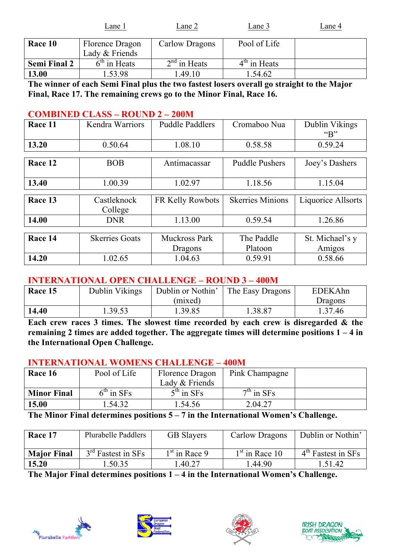|                     | Lane 1                            | Lane 2         | Lane 3                   | Lane 4 |
|---------------------|-----------------------------------|----------------|--------------------------|--------|
| Race 10             | Florence Dragon<br>Lady & Friends | Carlow Dragons | Pool of Life             |        |
| <b>Semi Final 2</b> | $6th$ in Heats                    | $2nd$ in Heats | 4 <sup>th</sup> in Heats |        |
| 13.00               | .53.98                            | .49.10         | .54.62                   |        |

**The winner of each Semi Final plus the two fastest losers overall go straight to the Major Final, Race 17. The remaining crews go to the Minor Final, Race 16.**

#### **COMBINED CLASS – ROUND 2 – 200M**

| Race 11 | Kendra Warriors       | <b>Puddle Paddlers</b> | Cromaboo Nua            | Dublin Vikings<br>" $B$ " |
|---------|-----------------------|------------------------|-------------------------|---------------------------|
| 13.20   | 0.50.64               | 1.08.10                | 0.58.58                 | 0.59.24                   |
|         |                       |                        |                         |                           |
| Race 12 | <b>BOB</b>            | Antimacassar           | <b>Puddle Pushers</b>   | Joey's Dashers            |
|         |                       |                        |                         |                           |
| 13.40   | 1.00.39               | 1.02.97                | 1.18.56                 | 1.15.04                   |
|         |                       |                        |                         |                           |
| Race 13 | Castleknock           | FR Kelly Rowbots       | <b>Skerries Minions</b> | Liquorice Allsorts        |
|         | College               |                        |                         |                           |
| 14.00   | <b>DNR</b>            | 1.13.00                | 0.59.54                 | 1.26.86                   |
|         |                       |                        |                         |                           |
| Race 14 | <b>Skerries Goats</b> | <b>Muckross Park</b>   | The Paddle              | St. Michael's y           |
|         |                       | Dragons                | Platoon                 | Amigos                    |
| 14.20   | 1.02.65               | 1.04.63                | 0.59.91                 | 0.58.66                   |

#### **INTERNATIONAL OPEN CHALLENGE – ROUND 3 – 400M**

| Race 15 | Dublin Vikings | Dublin or Nothin' | The Easy Dragons | <b>EDEKAhn</b> |
|---------|----------------|-------------------|------------------|----------------|
|         |                | (mixed)           |                  | Dragons        |
| 14.40   | .39.53         | 1.39.85           | .38.87           | 1.37.46        |

**Each crew races 3 times. The slowest time recorded by each crew is disregarded & the remaining 2 times are added together. The aggregate times will determine positions 1 – 4 in the International Open Challenge.**

#### **INTERNATIONAL WOMENS CHALLENGE – 400M**

| Race 16            | Pool of Life            | Florence Dragon | Pink Champagne |  |
|--------------------|-------------------------|-----------------|----------------|--|
|                    |                         | Lady & Friends  |                |  |
| <b>Minor Final</b> | $6^{\text{th}}$ in SFs. | $5th$ in SFs    | $7th$ in SFs   |  |
| 15.00              | .54.32                  | 1.54.56         | 2.04.27        |  |

**The Minor Final determines positions 5 – 7 in the International Women's Challenge.**

| Race 17            | Plurabelle Paddlers            | <b>GB</b> Slayers | Carlow Dragons   | Dublin or Nothin'    |
|--------------------|--------------------------------|-------------------|------------------|----------------------|
| <b>Major Final</b> | 3 <sup>rd</sup> Fastest in SFs | $1st$ in Race 9   | $1st$ in Race 10 | $4th$ Fastest in SFs |
| 15.20              | .50.35                         | .40.27            | l.44.90          | .51.42               |

**The Major Final determines positions 1 – 4 in the International Women's Challenge.**







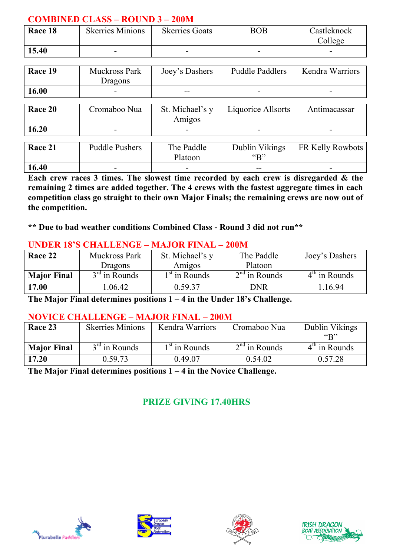#### **COMBINED CLASS – ROUND 3 – 200M**

| Race 18 | <b>Skerries Minions</b> | <b>Skerries Goats</b> | BOB | Castleknock<br>College   |
|---------|-------------------------|-----------------------|-----|--------------------------|
| 15.40   |                         | -                     |     | $\overline{\phantom{0}}$ |

| Race 19 | <b>Muckross Park</b><br>Dragons | Joey's Dashers  | <b>Puddle Paddlers</b> | Kendra Warriors |
|---------|---------------------------------|-----------------|------------------------|-----------------|
| 16.00   |                                 |                 |                        |                 |
|         |                                 |                 |                        |                 |
| Race 20 | Cromaboo Nua                    | St. Michael's y | Liquorice Allsorts     | Antimacassar    |

|           |                          | Amıgos                   |                                                                 |                                                             |
|-----------|--------------------------|--------------------------|-----------------------------------------------------------------|-------------------------------------------------------------|
| 16.20     | $\overline{\phantom{0}}$ | $\overline{\phantom{a}}$ |                                                                 | $\overline{\phantom{0}}$                                    |
|           |                          |                          |                                                                 |                                                             |
| . .<br>-- | $m = 1.11$<br>- 11       | $-72.11$<br>$-1$         | $\mathbf{r}$ and $\mathbf{r}$ and $\mathbf{r}$ and $\mathbf{r}$ | $T_{\rm I}$ $T_{\rm I}$ $T_{\rm I}$ $T_{\rm I}$ $T_{\rm I}$ |

| Race 21 | <b>Puddle Pushers</b>    | The Paddle | Dublin Vikings | <b>FR Kelly Rowbots</b>  |
|---------|--------------------------|------------|----------------|--------------------------|
|         |                          | Platoon    | $\mathfrak{c}$ |                          |
| 16.40   | $\overline{\phantom{a}}$ |            | $- -$          | $\overline{\phantom{a}}$ |

**Each crew races 3 times. The slowest time recorded by each crew is disregarded & the remaining 2 times are added together. The 4 crews with the fastest aggregate times in each competition class go straight to their own Major Finals; the remaining crews are now out of the competition.**

**\*\* Due to bad weather conditions Combined Class - Round 3 did not run\*\***

| UNDUN 10 S CHAUDUNGUL – MAJOLI HINAU – ZUUM |                 |                 |                 |                 |
|---------------------------------------------|-----------------|-----------------|-----------------|-----------------|
| Race 22                                     | Muckross Park   | St. Michael's y | The Paddle      | Joey's Dashers  |
|                                             | <b>Dragons</b>  | Amigos          | Platoon         |                 |
| <b>Major Final</b>                          | $3rd$ in Rounds | $1st$ in Rounds | $2nd$ in Rounds | $4th$ in Rounds |
| 17.00                                       | 1.06.42         | 0.59.37         | DNR             | .16.94          |

#### **UNDER 18'S CHALLENGE – MAJOR FINAL – 200M**

**The Major Final determines positions 1 – 4 in the Under 18's Challenge.**

#### **NOVICE CHALLENGE – MAJOR FINAL – 200M**

| Race 23            | <b>Skerries Minions</b> | Kendra Warriors           | Cromaboo Nua    | Dublin Vikings<br>$\mathfrak{C}_{\mathbf{R}}$ |
|--------------------|-------------------------|---------------------------|-----------------|-----------------------------------------------|
| <b>Major Final</b> | $3rd$ in Rounds         | 1 <sup>st</sup> in Rounds | $2nd$ in Rounds | $4th$ in Rounds                               |
| 17.20              | 0.59.73                 | 0.49.07                   | 0.54.02         | 0.57.28                                       |

**The Major Final determines positions 1 – 4 in the Novice Challenge.**

#### **PRIZE GIVING 17.40HRS**